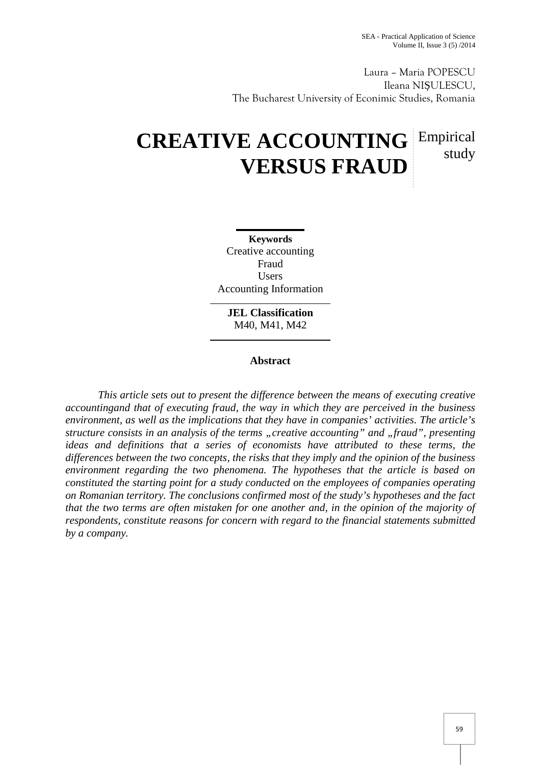Laura – Maria POPESCU Ileana NI ULESCU, The Bucharest University of Econimic Studies, Romania

# **CREATIVE ACCOUNTING** Empirical **VERSUS FRAUD** study

**Keywords** Creative accounting Fraud **Users** Accounting Information

**JEL Classification** M40, M41, M42

## **Abstract**

*This article sets out to present the difference between the means of executing creative accountingand that of executing fraud, the way in which they are perceived in the business environment, as well as the implications that they have in companies' activities. The article's structure consists in an analysis of the terms "creative accounting" and "fraud", presenting ideas and definitions that a series of economists have attributed to these terms, the differences between the two concepts, the risks that they imply and the opinion of the business environment regarding the two phenomena. The hypotheses that the article is based on constituted the starting point for a study conducted on the employees of companies operating on Romanian territory. The conclusions confirmed most of the study's hypotheses and the fact that the two terms are often mistaken for one another and, in the opinion of the majority of respondents, constitute reasons for concern with regard to the financial statements submitted by a company.*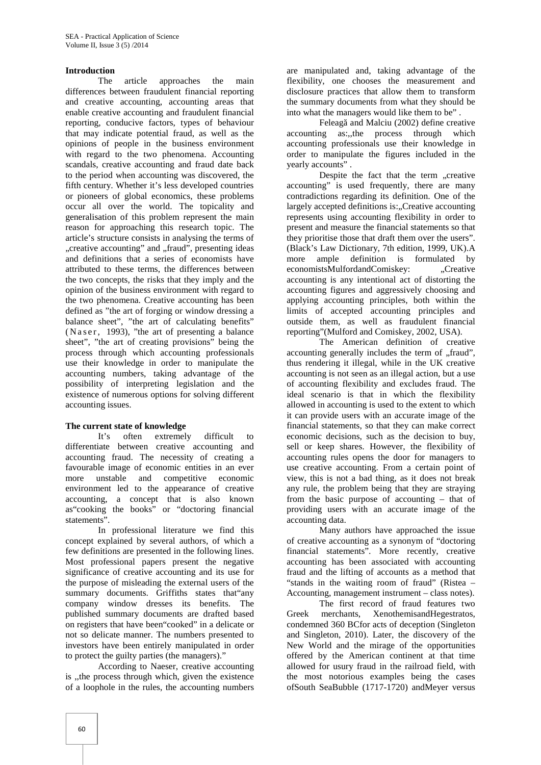#### **Introduction**

The article approaches the main differences between fraudulent financial reporting and creative accounting, accounting areas that enable creative accounting and fraudulent financial reporting, conducive factors, types of behaviour that may indicate potential fraud, as well as the opinions of people in the business environment with regard to the two phenomena. Accounting scandals, creative accounting and fraud date back to the period when accounting was discovered, the fifth century. Whether it's less developed countries or pioneers of global economics, these problems occur all over the world. The topicality and generalisation of this problem represent the main reason for approaching this research topic. The article's structure consists in analysing the terms of "creative accounting" and "fraud", presenting ideas and definitions that a series of economists have attributed to these terms, the differences between the two concepts, the risks that they imply and the opinion of the business environment with regard to the two phenomena. Creative accounting has been defined as "the art of forging or window dressing a balance sheet", "the art of calculating benefits" (Naser, 1993), "the art of presenting a balance sheet", "the art of creating provisions" being the process through which accounting professionals use their knowledge in order to manipulate the accounting numbers, taking advantage of the possibility of interpreting legislation and the existence of numerous options for solving different accounting issues.

#### **The current state of knowledge**

It's often extremely difficult to differentiate between creative accounting and accounting fraud. The necessity of creating a favourable image of economic entities in an ever more unstable and competitive economic environment led to the appearance of creative accounting, a concept that is also known as"cooking the books" or "doctoring financial statements".

In professional literature we find this concept explained by several authors, of which a few definitions are presented in the following lines. Most professional papers present the negative significance of creative accounting and its use for the purpose of misleading the external users of the summary documents. Griffiths states that"any company window dresses its benefits. The published summary documents are drafted based on registers that have been"cooked" in a delicate or not so delicate manner. The numbers presented to investors have been entirely manipulated in order to protect the guilty parties (the managers)."

According to Naeser, creative accounting is ,,the process through which, given the existence of a loophole in the rules, the accounting numbers

are manipulated and, taking advantage of the flexibility, one chooses the measurement and disclosure practices that allow them to transform the summary documents from what they should be into what the managers would like them to be" .

Feleag and Malciu (2002) define creative accounting as:,,the process through which accounting professionals use their knowledge in order to manipulate the figures included in the yearly accounts" .

Despite the fact that the term "creative accounting" is used frequently, there are many contradictions regarding its definition. One of the largely accepted definitions is:..Creative accounting represents using accounting flexibility in order to present and measure the financial statements so that they prioritise those that draft them over the users". (Black's Law Dictionary, 7th edition, 1999, UK).A more ample definition is formulated by economistsMulfordandComiskey: "Creative accounting is any intentional act of distorting the accounting figures and aggressively choosing and applying accounting principles, both within the limits of accepted accounting principles and outside them, as well as fraudulent financial reporting"(Mulford and Comiskey, 2002, USA).

The American definition of creative accounting generally includes the term of "fraud", thus rendering it illegal, while in the UK creative accounting is not seen as an illegal action, but a use of accounting flexibility and excludes fraud. The ideal scenario is that in which the flexibility allowed in accounting is used to the extent to which it can provide users with an accurate image of the financial statements, so that they can make correct economic decisions, such as the decision to buy, sell or keep shares. However, the flexibility of accounting rules opens the door for managers to use creative accounting. From a certain point of view, this is not a bad thing, as it does not break any rule, the problem being that they are straying from the basic purpose of accounting – that of providing users with an accurate image of the accounting data.

Many authors have approached the issue of creative accounting as a synonym of "doctoring financial statements". More recently, creative accounting has been associated with accounting fraud and the lifting of accounts as a method that "stands in the waiting room of fraud" (Ristea – Accounting, management instrument – class notes).

The first record of fraud features two merchants, XenothemisandHegestratos, condemned 360 BCfor acts of deception (Singleton and Singleton, 2010). Later, the discovery of the New World and the mirage of the opportunities offered by the American continent at that time allowed for usury fraud in the railroad field, with the most notorious examples being the cases ofSouth SeaBubble (1717-1720) andMeyer versus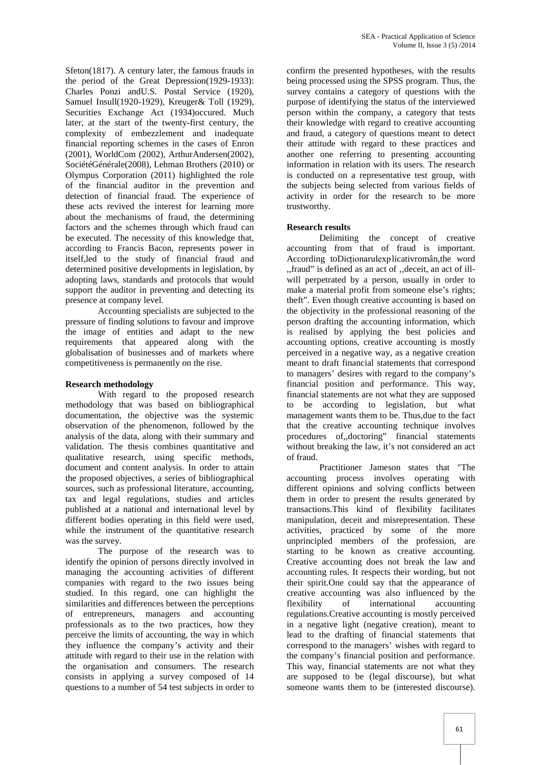Sfeton(1817). A century later, the famous frauds in the period of the Great Depression(1929-1933): Charles Ponzi andU.S. Postal Service (1920), Samuel Insull(1920-1929), Kreuger& Toll (1929), Securities Exchange Act (1934)occured. Much later, at the start of the twenty-first century, the complexity of embezzlement and inadequate financial reporting schemes in the cases of Enron (2001), WorldCom (2002), ArthurAndersen(2002), SociétéGénérale(2008), Lehman Brothers (2010) or Olympus Corporation (2011) highlighted the role of the financial auditor in the prevention and detection of financial fraud. The experience of these acts revived the interest for learning more about the mechanisms of fraud, the determining factors and the schemes through which fraud can be executed. The necessity of this knowledge that, according to Francis Bacon, represents power in itself,led to the study of financial fraud and determined positive developments in legislation, by adopting laws, standards and protocols that would support the auditor in preventing and detecting its presence at company level.

Accounting specialists are subjected to the pressure of finding solutions to favour and improve the image of entities and adapt to the new requirements that appeared along with the globalisation of businesses and of markets where competitiveness is permanently on the rise.

#### **Research methodology**

With regard to the proposed research methodology that was based on bibliographical documentation, the objective was the systemic observation of the phenomenon, followed by the analysis of the data, along with their summary and validation. The thesis combines quantitative and qualitative research, using specific methods, document and content analysis. In order to attain the proposed objectives, a series of bibliographical sources, such as professional literature, accounting, tax and legal regulations, studies and articles published at a national and international level by different bodies operating in this field were used, while the instrument of the quantitative research was the survey.

The purpose of the research was to identify the opinion of persons directly involved in managing the accounting activities of different companies with regard to the two issues being studied. In this regard, one can highlight the similarities and differences between the perceptions of entrepreneurs, managers and accounting professionals as to the two practices, how they perceive the limits of accounting, the way in which they influence the company's activity and their attitude with regard to their use in the relation with the organisation and consumers. The research consists in applying a survey composed of 14 questions to a number of 54 test subjects in order to confirm the presented hypotheses, with the results being processed using the SPSS program. Thus, the survey contains a category of questions with the purpose of identifying the status of the interviewed person within the company, a category that tests their knowledge with regard to creative accounting and fraud, a category of questions meant to detect their attitude with regard to these practices and another one referring to presenting accounting information in relation with its users. The research is conducted on a representative test group, with the subjects being selected from various fields of activity in order for the research to be more trustworthy.

#### **Research results**

Delimiting the concept of creative accounting from that of fraud is important. According toDicționarulexplicativromân,the word ,,fraud" is defined as an act of ',deceit, an act of ill will perpetrated by a person, usually in order to make a material profit from someone else's rights; theft". Even though creative accounting is based on the objectivity in the professional reasoning of the person drafting the accounting information, which is realised by applying the best policies and accounting options, creative accounting is mostly perceived in a negative way, as a negative creation meant to draft financial statements that correspond to managers' desires with regard to the company's financial position and performance. This way, financial statements are not what they are supposed to be according to legislation, but what management wants them to be. Thus,due to the fact that the creative accounting technique involves procedures of,,doctoring" financial statements without breaking the law, it's not considered an act of fraud.

Practitioner Jameson states that "The accounting process involves operating with different opinions and solving conflicts between them in order to present the results generated by transactions.This kind of flexibility facilitates manipulation, deceit and misrepresentation. These activities, practiced by some of the more unprincipled members of the profession, are starting to be known as creative accounting. Creative accounting does not break the law and accounting rules. It respects their wording, but not their spirit.One could say that the appearance of creative accounting was also influenced by the flexibility of international accounting regulations.Creative accounting is mostly perceived in a negative light (negative creation), meant to lead to the drafting of financial statements that correspond to the managers' wishes with regard to the company's financial position and performance. This way, financial statements are not what they are supposed to be (legal discourse), but what someone wants them to be (interested discourse).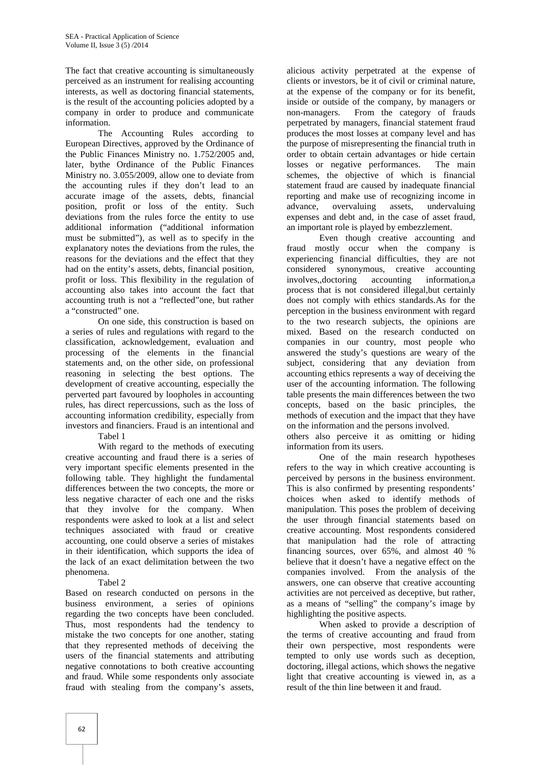The fact that creative accounting is simultaneously perceived as an instrument for realising accounting interests, as well as doctoring financial statements, is the result of the accounting policies adopted by a company in order to produce and communicate information.

The Accounting Rules according to European Directives, approved by the Ordinance of the Public Finances Ministry no. 1.752/2005 and, later, bythe Ordinance of the Public Finances Ministry no. 3.055/2009, allow one to deviate from the accounting rules if they don't lead to an accurate image of the assets, debts, financial position, profit or loss of the entity. Such deviations from the rules force the entity to use additional information ("additional information must be submitted"), as well as to specify in the explanatory notes the deviations from the rules, the reasons for the deviations and the effect that they had on the entity's assets, debts, financial position, profit or loss. This flexibility in the regulation of accounting also takes into account the fact that accounting truth is not a "reflected"one, but rather a "constructed" one.

On one side, this construction is based on a series of rules and regulations with regard to the classification, acknowledgement, evaluation and processing of the elements in the financial statements and, on the other side, on professional reasoning in selecting the best options. The development of creative accounting, especially the perverted part favoured by loopholes in accounting rules, has direct repercussions, such as the loss of accounting information credibility, especially from investors and financiers. Fraud is an intentional and

Tabel 1

With regard to the methods of executing creative accounting and fraud there is a series of very important specific elements presented in the following table. They highlight the fundamental differences between the two concepts, the more or less negative character of each one and the risks that they involve for the company. When respondents were asked to look at a list and select techniques associated with fraud or creative accounting, one could observe a series of mistakes in their identification, which supports the idea of the lack of an exact delimitation between the two phenomena.

#### Tabel 2

Based on research conducted on persons in the business environment, a series of opinions regarding the two concepts have been concluded. Thus, most respondents had the tendency to mistake the two concepts for one another, stating that they represented methods of deceiving the users of the financial statements and attributing negative connotations to both creative accounting and fraud. While some respondents only associate fraud with stealing from the company's assets,

alicious activity perpetrated at the expense of clients or investors, be it of civil or criminal nature, at the expense of the company or for its benefit, inside or outside of the company, by managers or non-managers. From the category of frauds perpetrated by managers, financial statement fraud produces the most losses at company level and has the purpose of misrepresenting the financial truth in order to obtain certain advantages or hide certain losses or negative performances. The main schemes, the objective of which is financial statement fraud are caused by inadequate financial reporting and make use of recognizing income in overvaluing assets, undervaluing expenses and debt and, in the case of asset fraud, an important role is played by embezzlement.

Even though creative accounting and fraud mostly occur when the company is experiencing financial difficulties, they are not considered synonymous, creative accounting involves,,doctoring accounting information,a process that is not considered illegal,but certainly does not comply with ethics standards.As for the perception in the business environment with regard to the two research subjects, the opinions are mixed. Based on the research conducted on companies in our country, most people who answered the study's questions are weary of the subject, considering that any deviation from accounting ethics represents a way of deceiving the user of the accounting information. The following table presents the main differences between the two concepts, based on the basic principles, the methods of execution and the impact that they have on the information and the persons involved.

others also perceive it as omitting or hiding information from its users.

One of the main research hypotheses refers to the way in which creative accounting is perceived by persons in the business environment. This is also confirmed by presenting respondents' choices when asked to identify methods of manipulation. This poses the problem of deceiving the user through financial statements based on creative accounting. Most respondents considered that manipulation had the role of attracting financing sources, over 65%, and almost 40 % believe that it doesn't have a negative effect on the companies involved. From the analysis of the answers, one can observe that creative accounting activities are not perceived as deceptive, but rather, as a means of "selling" the company's image by highlighting the positive aspects.

When asked to provide a description of the terms of creative accounting and fraud from their own perspective, most respondents were tempted to only use words such as deception, doctoring, illegal actions, which shows the negative light that creative accounting is viewed in, as a result of the thin line between it and fraud.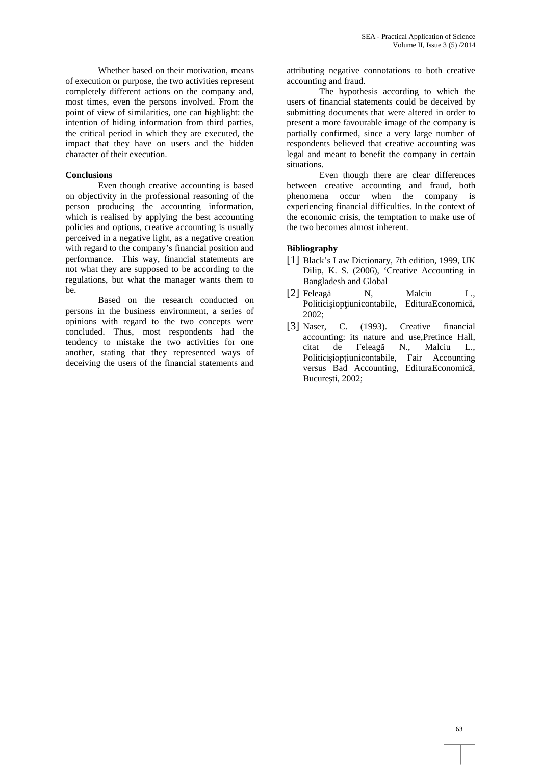Whether based on their motivation, means of execution or purpose, the two activities represent completely different actions on the company and, most times, even the persons involved. From the point of view of similarities, one can highlight: the intention of hiding information from third parties, the critical period in which they are executed, the impact that they have on users and the hidden character of their execution.

### **Conclusions**

Even though creative accounting is based on objectivity in the professional reasoning of the person producing the accounting information, which is realised by applying the best accounting policies and options, creative accounting is usually perceived in a negative light, as a negative creation with regard to the company's financial position and performance. This way, financial statements are not what they are supposed to be according to the regulations, but what the manager wants them to be.

Based on the research conducted on persons in the business environment, a series of opinions with regard to the two concepts were concluded. Thus, most respondents had the tendency to mistake the two activities for one another, stating that they represented ways of deceiving the users of the financial statements and attributing negative connotations to both creative accounting and fraud.

The hypothesis according to which the users of financial statements could be deceived by submitting documents that were altered in order to present a more favourable image of the company is partially confirmed, since a very large number of respondents believed that creative accounting was legal and meant to benefit the company in certain situations.

Even though there are clear differences between creative accounting and fraud, both phenomena occur when the company is experiencing financial difficulties. In the context of the economic crisis, the temptation to make use of the two becomes almost inherent.

# **Bibliography**

- [1] Black's Law Dictionary, 7th edition, 1999, UK Dilip, K. S. (2006), 'Creative Accounting in Bangladesh and Global
- [2] Feleag N, Malciu L., Politici iop iunicontabile, EdituraEconomic, 2002;
- [3] Naser, C. (1993). Creative financial accounting: its nature and use,Pretince Hall, citat de Feleagã N., Malciu L., Politicișiopțiunicontabile, Fair Accounting versus Bad Accounting, EdituraEconomicã, Bucure ti, 2002;